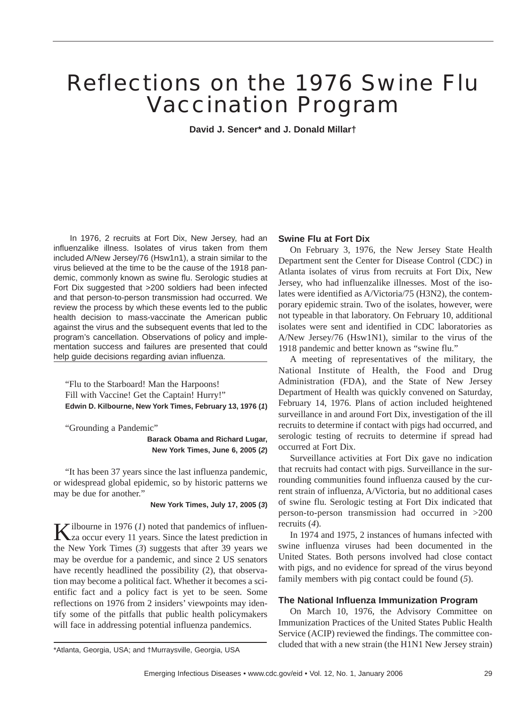# Reflections on the 1976 Swine Flu Vaccination Program

**David J. Sencer\* and J. Donald Millar†**

In 1976, 2 recruits at Fort Dix, New Jersey, had an influenzalike illness. Isolates of virus taken from them included A/New Jersey/76 (Hsw1n1), a strain similar to the virus believed at the time to be the cause of the 1918 pandemic, commonly known as swine flu. Serologic studies at Fort Dix suggested that >200 soldiers had been infected and that person-to-person transmission had occurred. We review the process by which these events led to the public health decision to mass-vaccinate the American public against the virus and the subsequent events that led to the program's cancellation. Observations of policy and implementation success and failures are presented that could help guide decisions regarding avian influenza.

"Flu to the Starboard! Man the Harpoons! Fill with Vaccine! Get the Captain! Hurry!" **Edwin D. Kilbourne, New York Times, February 13, 1976 (***1***)** 

"Grounding a Pandemic"

**Barack Obama and Richard Lugar, New York Times, June 6, 2005 (***2***)**

"It has been 37 years since the last influenza pandemic, or widespread global epidemic, so by historic patterns we may be due for another."

**New York Times, July 17, 2005 (***3***)**

Kilbourne in 1976 (*1*) noted that pandemics of influen-<br>Za occur every 11 years. Since the latest prediction in the New York Times (*3*) suggests that after 39 years we may be overdue for a pandemic, and since 2 US senators have recently headlined the possibility (2), that observation may become a political fact. Whether it becomes a scientific fact and a policy fact is yet to be seen. Some reflections on 1976 from 2 insiders' viewpoints may identify some of the pitfalls that public health policymakers will face in addressing potential influenza pandemics.

## **Swine Flu at Fort Dix**

On February 3, 1976, the New Jersey State Health Department sent the Center for Disease Control (CDC) in Atlanta isolates of virus from recruits at Fort Dix, New Jersey, who had influenzalike illnesses. Most of the isolates were identified as A/Victoria/75 (H3N2), the contemporary epidemic strain. Two of the isolates, however, were not typeable in that laboratory. On February 10, additional isolates were sent and identified in CDC laboratories as A/New Jersey/76 (Hsw1N1), similar to the virus of the 1918 pandemic and better known as "swine flu."

A meeting of representatives of the military, the National Institute of Health, the Food and Drug Administration (FDA), and the State of New Jersey Department of Health was quickly convened on Saturday, February 14, 1976. Plans of action included heightened surveillance in and around Fort Dix, investigation of the ill recruits to determine if contact with pigs had occurred, and serologic testing of recruits to determine if spread had occurred at Fort Dix.

Surveillance activities at Fort Dix gave no indication that recruits had contact with pigs. Surveillance in the surrounding communities found influenza caused by the current strain of influenza, A/Victoria, but no additional cases of swine flu. Serologic testing at Fort Dix indicated that person-to-person transmission had occurred in >200 recruits (*4*).

In 1974 and 1975, 2 instances of humans infected with swine influenza viruses had been documented in the United States. Both persons involved had close contact with pigs, and no evidence for spread of the virus beyond family members with pig contact could be found (*5*).

#### **The National Influenza Immunization Program**

On March 10, 1976, the Advisory Committee on Immunization Practices of the United States Public Health Service (ACIP) reviewed the findings. The committee concluded that with a new strain (the H1N1 New Jersey strain)

<sup>\*</sup>Atlanta, Georgia, USA; and †Murraysville, Georgia, USA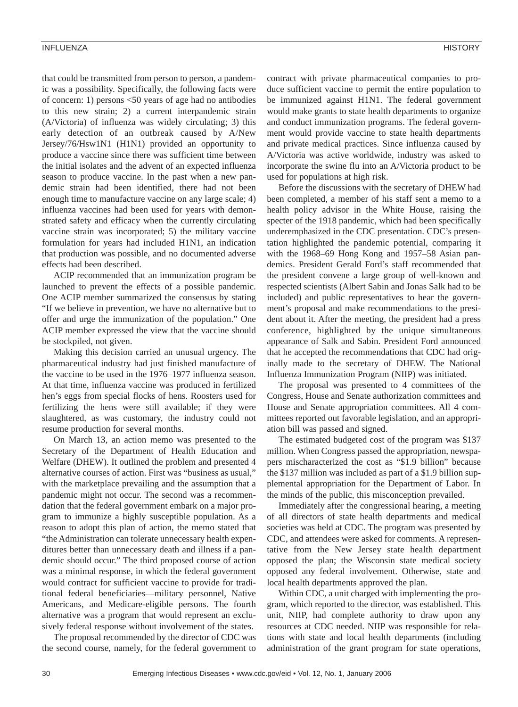#### INFLUENZA HISTORY

that could be transmitted from person to person, a pandemic was a possibility. Specifically, the following facts were of concern: 1) persons <50 years of age had no antibodies to this new strain; 2) a current interpandemic strain (A/Victoria) of influenza was widely circulating; 3) this early detection of an outbreak caused by A/New Jersey/76/Hsw1N1 (H1N1) provided an opportunity to produce a vaccine since there was sufficient time between the initial isolates and the advent of an expected influenza season to produce vaccine. In the past when a new pandemic strain had been identified, there had not been enough time to manufacture vaccine on any large scale; 4) influenza vaccines had been used for years with demonstrated safety and efficacy when the currently circulating vaccine strain was incorporated; 5) the military vaccine formulation for years had included H1N1, an indication that production was possible, and no documented adverse effects had been described.

ACIP recommended that an immunization program be launched to prevent the effects of a possible pandemic. One ACIP member summarized the consensus by stating "If we believe in prevention, we have no alternative but to offer and urge the immunization of the population." One ACIP member expressed the view that the vaccine should be stockpiled, not given.

Making this decision carried an unusual urgency. The pharmaceutical industry had just finished manufacture of the vaccine to be used in the 1976–1977 influenza season. At that time, influenza vaccine was produced in fertilized hen's eggs from special flocks of hens. Roosters used for fertilizing the hens were still available; if they were slaughtered, as was customary, the industry could not resume production for several months.

On March 13, an action memo was presented to the Secretary of the Department of Health Education and Welfare (DHEW). It outlined the problem and presented 4 alternative courses of action. First was "business as usual," with the marketplace prevailing and the assumption that a pandemic might not occur. The second was a recommendation that the federal government embark on a major program to immunize a highly susceptible population. As a reason to adopt this plan of action, the memo stated that "the Administration can tolerate unnecessary health expenditures better than unnecessary death and illness if a pandemic should occur." The third proposed course of action was a minimal response, in which the federal government would contract for sufficient vaccine to provide for traditional federal beneficiaries—military personnel, Native Americans, and Medicare-eligible persons. The fourth alternative was a program that would represent an exclusively federal response without involvement of the states.

The proposal recommended by the director of CDC was the second course, namely, for the federal government to contract with private pharmaceutical companies to produce sufficient vaccine to permit the entire population to be immunized against H1N1. The federal government would make grants to state health departments to organize and conduct immunization programs. The federal government would provide vaccine to state health departments and private medical practices. Since influenza caused by A/Victoria was active worldwide, industry was asked to incorporate the swine flu into an A/Victoria product to be used for populations at high risk.

Before the discussions with the secretary of DHEW had been completed, a member of his staff sent a memo to a health policy advisor in the White House, raising the specter of the 1918 pandemic, which had been specifically underemphasized in the CDC presentation. CDC's presentation highlighted the pandemic potential, comparing it with the 1968–69 Hong Kong and 1957–58 Asian pandemics. President Gerald Ford's staff recommended that the president convene a large group of well-known and respected scientists (Albert Sabin and Jonas Salk had to be included) and public representatives to hear the government's proposal and make recommendations to the president about it. After the meeting, the president had a press conference, highlighted by the unique simultaneous appearance of Salk and Sabin. President Ford announced that he accepted the recommendations that CDC had originally made to the secretary of DHEW. The National Influenza Immunization Program (NIIP) was initiated.

The proposal was presented to 4 committees of the Congress, House and Senate authorization committees and House and Senate appropriation committees. All 4 committees reported out favorable legislation, and an appropriation bill was passed and signed.

The estimated budgeted cost of the program was \$137 million. When Congress passed the appropriation, newspapers mischaracterized the cost as "\$1.9 billion" because the \$137 million was included as part of a \$1.9 billion supplemental appropriation for the Department of Labor. In the minds of the public, this misconception prevailed.

Immediately after the congressional hearing, a meeting of all directors of state health departments and medical societies was held at CDC. The program was presented by CDC, and attendees were asked for comments. A representative from the New Jersey state health department opposed the plan; the Wisconsin state medical society opposed any federal involvement. Otherwise, state and local health departments approved the plan.

Within CDC, a unit charged with implementing the program, which reported to the director, was established. This unit, NIIP, had complete authority to draw upon any resources at CDC needed. NIIP was responsible for relations with state and local health departments (including administration of the grant program for state operations,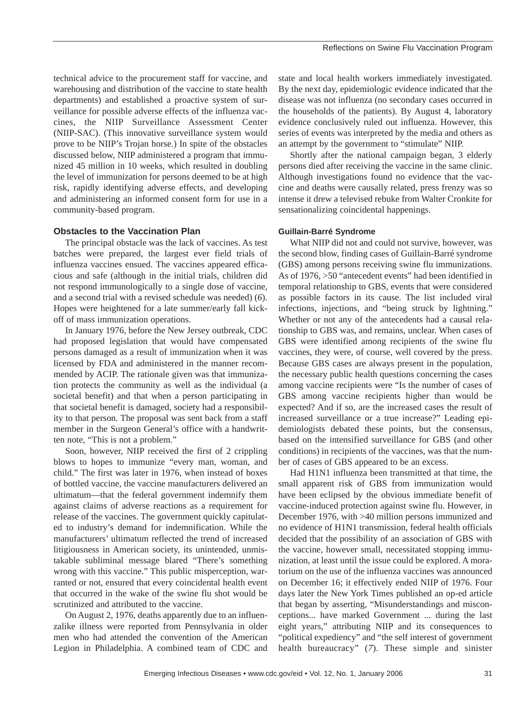technical advice to the procurement staff for vaccine, and warehousing and distribution of the vaccine to state health departments) and established a proactive system of surveillance for possible adverse effects of the influenza vaccines, the NIIP Surveillance Assessment Center (NIIP-SAC). (This innovative surveillance system would prove to be NIIP's Trojan horse.) In spite of the obstacles discussed below, NIIP administered a program that immunized 45 million in 10 weeks, which resulted in doubling the level of immunization for persons deemed to be at high risk, rapidly identifying adverse effects, and developing and administering an informed consent form for use in a community-based program.

## **Obstacles to the Vaccination Plan**

The principal obstacle was the lack of vaccines. As test batches were prepared, the largest ever field trials of influenza vaccines ensued. The vaccines appeared efficacious and safe (although in the initial trials, children did not respond immunologically to a single dose of vaccine, and a second trial with a revised schedule was needed) (*6*). Hopes were heightened for a late summer/early fall kickoff of mass immunization operations.

In January 1976, before the New Jersey outbreak, CDC had proposed legislation that would have compensated persons damaged as a result of immunization when it was licensed by FDA and administered in the manner recommended by ACIP. The rationale given was that immunization protects the community as well as the individual (a societal benefit) and that when a person participating in that societal benefit is damaged, society had a responsibility to that person. The proposal was sent back from a staff member in the Surgeon General's office with a handwritten note, "This is not a problem."

Soon, however, NIIP received the first of 2 crippling blows to hopes to immunize "every man, woman, and child." The first was later in 1976, when instead of boxes of bottled vaccine, the vaccine manufacturers delivered an ultimatum—that the federal government indemnify them against claims of adverse reactions as a requirement for release of the vaccines. The government quickly capitulated to industry's demand for indemnification. While the manufacturers' ultimatum reflected the trend of increased litigiousness in American society, its unintended, unmistakable subliminal message blared "There's something wrong with this vaccine." This public misperception, warranted or not, ensured that every coincidental health event that occurred in the wake of the swine flu shot would be scrutinized and attributed to the vaccine.

On August 2, 1976, deaths apparently due to an influenzalike illness were reported from Pennsylvania in older men who had attended the convention of the American Legion in Philadelphia. A combined team of CDC and state and local health workers immediately investigated. By the next day, epidemiologic evidence indicated that the disease was not influenza (no secondary cases occurred in the households of the patients). By August 4, laboratory evidence conclusively ruled out influenza. However, this series of events was interpreted by the media and others as an attempt by the government to "stimulate" NIIP.

Shortly after the national campaign began, 3 elderly persons died after receiving the vaccine in the same clinic. Although investigations found no evidence that the vaccine and deaths were causally related, press frenzy was so intense it drew a televised rebuke from Walter Cronkite for sensationalizing coincidental happenings.

#### **Guillain-Barré Syndrome**

What NIIP did not and could not survive, however, was the second blow, finding cases of Guillain-Barré syndrome (GBS) among persons receiving swine flu immunizations. As of 1976, >50 "antecedent events" had been identified in temporal relationship to GBS, events that were considered as possible factors in its cause. The list included viral infections, injections, and "being struck by lightning." Whether or not any of the antecedents had a causal relationship to GBS was, and remains, unclear. When cases of GBS were identified among recipients of the swine flu vaccines, they were, of course, well covered by the press. Because GBS cases are always present in the population, the necessary public health questions concerning the cases among vaccine recipients were "Is the number of cases of GBS among vaccine recipients higher than would be expected? And if so, are the increased cases the result of increased surveillance or a true increase?" Leading epidemiologists debated these points, but the consensus, based on the intensified surveillance for GBS (and other conditions) in recipients of the vaccines, was that the number of cases of GBS appeared to be an excess.

Had H1N1 influenza been transmitted at that time, the small apparent risk of GBS from immunization would have been eclipsed by the obvious immediate benefit of vaccine-induced protection against swine flu. However, in December 1976, with >40 million persons immunized and no evidence of H1N1 transmission, federal health officials decided that the possibility of an association of GBS with the vaccine, however small, necessitated stopping immunization, at least until the issue could be explored. A moratorium on the use of the influenza vaccines was announced on December 16; it effectively ended NIIP of 1976. Four days later the New York Times published an op-ed article that began by asserting, "Misunderstandings and misconceptions... have marked Government ... during the last eight years," attributing NIIP and its consequences to "political expediency" and "the self interest of government health bureaucracy" (*7*). These simple and sinister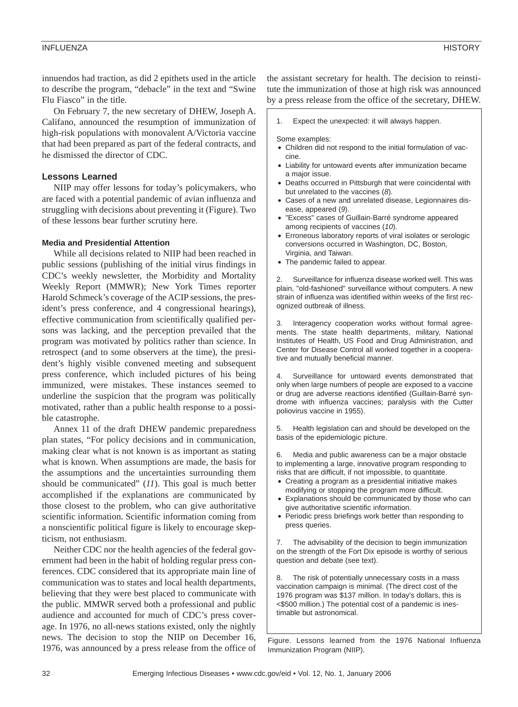#### INFLUENZA HISTORY

innuendos had traction, as did 2 epithets used in the article to describe the program, "debacle" in the text and "Swine Flu Fiasco" in the title.

On February 7, the new secretary of DHEW, Joseph A. Califano, announced the resumption of immunization of high-risk populations with monovalent A/Victoria vaccine that had been prepared as part of the federal contracts, and he dismissed the director of CDC.

# **Lessons Learned**

NIIP may offer lessons for today's policymakers, who are faced with a potential pandemic of avian influenza and struggling with decisions about preventing it (Figure). Two of these lessons bear further scrutiny here.

# **Media and Presidential Attention**

While all decisions related to NIIP had been reached in public sessions (publishing of the initial virus findings in CDC's weekly newsletter, the Morbidity and Mortality Weekly Report (MMWR); New York Times reporter Harold Schmeck's coverage of the ACIP sessions, the president's press conference, and 4 congressional hearings), effective communication from scientifically qualified persons was lacking, and the perception prevailed that the program was motivated by politics rather than science. In retrospect (and to some observers at the time), the president's highly visible convened meeting and subsequent press conference, which included pictures of his being immunized, were mistakes. These instances seemed to underline the suspicion that the program was politically motivated, rather than a public health response to a possible catastrophe.

Annex 11 of the draft DHEW pandemic preparedness plan states, "For policy decisions and in communication, making clear what is not known is as important as stating what is known. When assumptions are made, the basis for the assumptions and the uncertainties surrounding them should be communicated" (*11*). This goal is much better accomplished if the explanations are communicated by those closest to the problem, who can give authoritative scientific information. Scientific information coming from a nonscientific political figure is likely to encourage skepticism, not enthusiasm.

Neither CDC nor the health agencies of the federal government had been in the habit of holding regular press conferences. CDC considered that its appropriate main line of communication was to states and local health departments, believing that they were best placed to communicate with the public. MMWR served both a professional and public audience and accounted for much of CDC's press coverage. In 1976, no all-news stations existed, only the nightly news. The decision to stop the NIIP on December 16, 1976, was announced by a press release from the office of the assistant secretary for health. The decision to reinstitute the immunization of those at high risk was announced by a press release from the office of the secretary, DHEW.

1. Expect the unexpected: it will always happen.

Some examples:

- Children did not respond to the initial formulation of vaccine.
- Liability for untoward events after immunization became a major issue.
- Deaths occurred in Pittsburgh that were coincidental with but unrelated to the vaccines (*8*).
- Cases of a new and unrelated disease, Legionnaires disease, appeared (*9*).
- "Excess" cases of Guillain-Barré syndrome appeared among recipients of vaccines (*10*).
- Erroneous laboratory reports of viral isolates or serologic conversions occurred in Washington, DC, Boston, Virginia, and Taiwan.
- The pandemic failed to appear.

2. Surveillance for influenza disease worked well. This was plain, "old-fashioned" surveillance without computers. A new strain of influenza was identified within weeks of the first recognized outbreak of illness.

3. Interagency cooperation works without formal agreements. The state health departments, military, National Institutes of Health, US Food and Drug Administration, and Center for Disease Control all worked together in a cooperative and mutually beneficial manner.

Surveillance for untoward events demonstrated that only when large numbers of people are exposed to a vaccine or drug are adverse reactions identified (Guillain-Barré syndrome with influenza vaccines; paralysis with the Cutter poliovirus vaccine in 1955).

5. Health legislation can and should be developed on the basis of the epidemiologic picture.

6. Media and public awareness can be a major obstacle to implementing a large, innovative program responding to risks that are difficult, if not impossible, to quantitate.

- Creating a program as a presidential initiative makes modifying or stopping the program more difficult.
- Explanations should be communicated by those who can give authoritative scientific information.
- Periodic press briefings work better than responding to press queries.

7. The advisability of the decision to begin immunization on the strength of the Fort Dix episode is worthy of serious question and debate (see text).

8. The risk of potentially unnecessary costs in a mass vaccination campaign is minimal. (The direct cost of the 1976 program was \$137 million. In today's dollars, this is <\$500 million.) The potential cost of a pandemic is inestimable but astronomical.

Figure. Lessons learned from the 1976 National Influenza Immunization Program (NIIP).